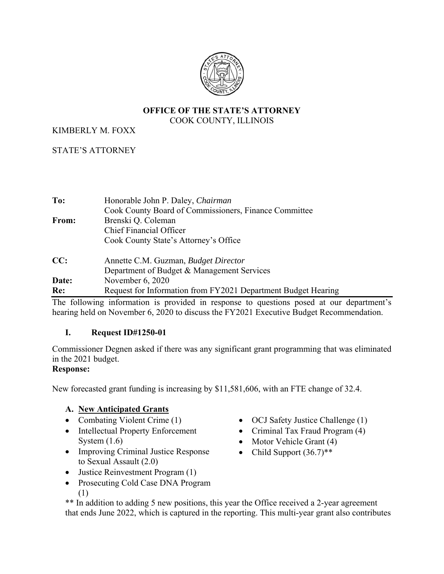

#### **OFFICE OF THE STATE'S ATTORNEY** COOK COUNTY, ILLINOIS

## KIMBERLY M. FOXX

# STATE'S ATTORNEY

| To:   | Honorable John P. Daley, Chairman                             |
|-------|---------------------------------------------------------------|
|       | Cook County Board of Commissioners, Finance Committee         |
| From: | Brenski Q. Coleman                                            |
|       | <b>Chief Financial Officer</b>                                |
|       | Cook County State's Attorney's Office                         |
| CC:   | Annette C.M. Guzman, Budget Director                          |
|       | Department of Budget & Management Services                    |
| Date: | November $6, 2020$                                            |
| Re:   | Request for Information from FY2021 Department Budget Hearing |

The following information is provided in response to questions posed at our department's hearing held on November 6, 2020 to discuss the FY2021 Executive Budget Recommendation.

#### **I. Request ID#1250-01**

Commissioner Degnen asked if there was any significant grant programming that was eliminated in the 2021 budget.

### **Response:**

New forecasted grant funding is increasing by \$11,581,606, with an FTE change of 32.4.

# **A. New Anticipated Grants**

- Combating Violent Crime (1)
- Intellectual Property Enforcement System (1.6)
- Improving Criminal Justice Response to Sexual Assault (2.0)
- Justice Reinvestment Program (1)
- Prosecuting Cold Case DNA Program (1)

• Criminal Tax Fraud Program (4)

• OCJ Safety Justice Challenge (1)

- $\bullet$  Motor Vehicle Grant (4)
- Child Support  $(36.7)$ <sup>\*\*</sup>

\*\* In addition to adding 5 new positions, this year the Office received a 2-year agreement that ends June 2022, which is captured in the reporting. This multi-year grant also contributes